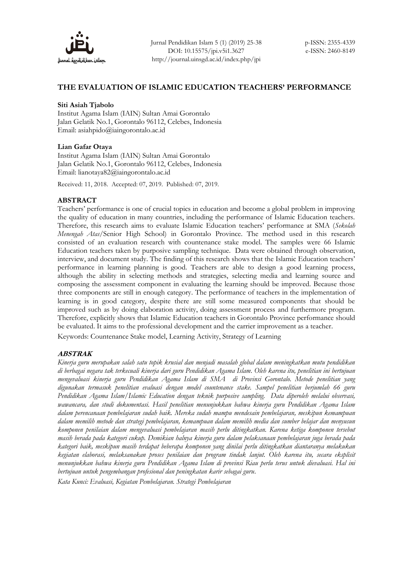

## **THE EVALUATION OF ISLAMIC EDUCATION TEACHERS' PERFORMANCE**

### **Siti Asiah Tjabolo**

Institut Agama Islam (IAIN) Sultan Amai Gorontalo Jalan Gelatik No.1, Gorontalo 96112, Celebes, Indonesia Email: asiahpido@iaingorontalo.ac.id

### **Lian Gafar Otaya**

Institut Agama Islam (IAIN) Sultan Amai Gorontalo Jalan Gelatik No.1, Gorontalo 96112, Celebes, Indonesia Email: [lianotaya82@iaingorontalo.ac.id](mailto:lianotaya82@iaingorontalo.ac.id)

Received: 11, 2018. Accepted: 07, 2019. Published: 07, 2019.

### **ABSTRACT**

Teachers' performance is one of crucial topics in education and become a global problem in improving the quality of education in many countries, including the performance of Islamic Education teachers. Therefore, this research aims to evaluate Islamic Education teachers' performance at SMA (*Sekolah Menengah Atas*/Senior High School) in Gorontalo Province. The method used in this research consisted of an evaluation research with countenance stake model. The samples were 66 Islamic Education teachers taken by purposive sampling technique. Data were obtained through observation, interview, and document study. The finding of this research shows that the Islamic Education teachers' performance in learning planning is good. Teachers are able to design a good learning process, although the ability in selecting methods and strategies, selecting media and learning source and composing the assessment component in evaluating the learning should be improved. Because those three components are still in enough category. The performance of teachers in the implementation of learning is in good category, despite there are still some measured components that should be improved such as by doing elaboration activity, doing assessment process and furthermore program. Therefore, explicitly shows that Islamic Education teachers in Gorontalo Province performance should be evaluated. It aims to the professional development and the carrier improvement as a teacher.

Keywords: Countenance Stake model, Learning Activity, Strategy of Learning

# **ABSTRAK**

*Kinerja guru merupakan salah satu topik krusial dan menjadi masalah global dalam meningkatkan mutu pendidikan di berbagai negara tak terkecuali kinerja dari guru Pendidikan Agama Islam. Oleh karena itu, penelitian ini bertujuan mengevaluasi kinerja guru Pendidikan Agama Islam di SMA di Provinsi Gorontalo. Metode penelitian yang digunakan termasuk penelitian evaluasi dengan model countenance stake. Sampel penelitian berjumlah 66 guru Pendidikan Agama Islam/Islamic Education dengan teknik purposive sampling. Data diperoleh melalui observasi, wawancara, dan studi dokumentasi. Hasil penelitian menunjukkan bahwa kinerja guru Pendidikan Agama Islam dalam perencanaan pembelajaran sudah baik. Mereka sudah mampu mendesain pembelajaran, meskipun kemampuan dalam memilih metode dan strategi pembelajaran, kemampuan dalam memilih media dan sumber belajar dan menyusun komponen penilaian dalam mengevaluasi pembelajaran masih perlu ditingkatkan. Karena ketiga komponen tersebut masih berada pada kategori cukup. Demikian halnya kinerja guru dalam pelaksanaan pembelajaran juga berada pada kategori baik, meskipun masih terdapat beberapa komponen yang dinilai perlu ditingkatkan diantaranya melakukan kegiatan elaborasi, melaksanakan proses penilaian dan program tindak lanjut. Oleh karena itu, secara eksplisit menunjukkan bahwa kinerja guru Pendidikan Agama Islam di provinsi Riau perlu terus untuk dievaluasi. Hal ini bertujuan untuk pengembangan profesional dan peningkatan karir sebagai guru*.

*Kata Kunci: Evaluasi, Kegiatan Pembelajaran. Strategi Pembelajaran*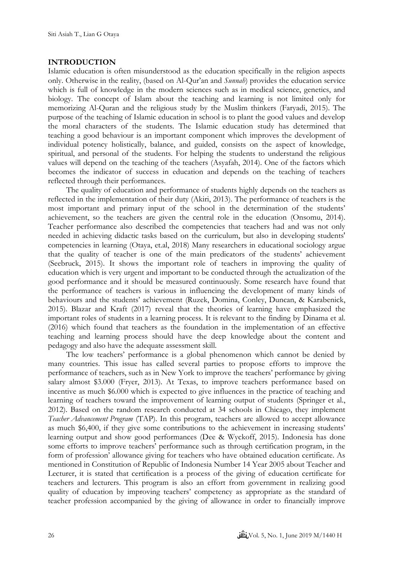# **INTRODUCTION**

Islamic education is often misunderstood as the education specifically in the religion aspects only. Otherwise in the reality, (based on Al-Qur'an and *Sunnah*) provides the education service which is full of knowledge in the modern sciences such as in medical science, genetics, and biology. The concept of Islam about the teaching and learning is not limited only for memorizing Al-Quran and the religious study by the Muslim thinkers [\(Faryadi, 2015\).](#page-12-0) The purpose of the teaching of Islamic education in school is to plant the good values and develop the moral characters of the students. The Islamic education study has determined that teaching a good behaviour is an important component which improves the development of individual potency holistically, balance, and guided, consists on the aspect of knowledge, spiritual, and personal of the students. For helping the students to understand the religious values will depend on the teaching of the teachers [\(Asyafah, 2014\)](#page-11-0). One of the factors which becomes the indicator of success in education and depends on the teaching of teachers reflected through their performances.

The quality of education and performance of students highly depends on the teachers as reflected in the implementation of their duty [\(Akiri, 2013\)](#page-11-1). The performance of teachers is the most important and primary input of the school in the determination of the students' achievement, so the teachers are given the central role in the education [\(Onsomu, 2014\)](#page-13-0). Teacher performance also described the competencies that teachers had and was not only needed in achieving didactic tasks based on the curriculum, but also in developing students' competencies in learning [\(Otaya, et.al,](#page-13-0) 2018) Many researchers in educational sociology argue that the quality of teacher is one of the main predicators of the students' achievement [\(Seebruck, 2015\)](#page-13-1). It shows the important role of teachers in improving the quality of education which is very urgent and important to be conducted through the actualization of the good performance and it should be measured continuously. Some research have found that the performance of teachers is various in influencing the development of many kinds of behaviours and the students' achievement [\(Ruzek, Domina, Conley, Duncan, & Karabenick,](#page-13-2)  [2015\)](#page-13-2). [Blazar and Kraft \(2017\)](#page-12-1) reveal that the theories of learning have emphasized the important roles of students in a learning process. It is relevant to the finding by [Dinama et al.](#page-12-2)  (2016) which found that teachers as the foundation in the implementation of an effective teaching and learning process should have the deep knowledge about the content and pedagogy and also have the adequate assessment skill.

The low teachers' performance is a global phenomenon which cannot be denied by many countries. This issue has called several parties to propose efforts to improve the performance of teachers, such as in New York to improve the teachers' performance by giving salary almost \$3.000 [\(Fryer, 2013\)](#page-12-3). At Texas, to improve teachers performance based on incentive as much \$6.000 which is expected to give influences in the practice of teaching and learning of teachers toward the improvement of learning output of students [\(Springer et al.,](#page-13-3)  [2012\)](#page-13-3). Based on the random research conducted at 34 schools in Chicago, they implement *Teacher Advancement Program* (TAP). In this program, teachers are allowed to accept allowance as much \$6,400, if they give some contributions to the achievement in increasing students' learning output and show good performances [\(Dee & Wyckoff, 2015\)](#page-12-4). Indonesia has done some efforts to improve teachers' performance such as through certification program, in the form of profession' allowance giving for teachers who have obtained education certificate. As mentioned in Constitution of Republic of Indonesia Number 14 Year 2005 about Teacher and Lecturer, it is stated that certification is a process of the giving of education certificate for teachers and lecturers. This program is also an effort from government in realizing good quality of education by improving teachers' competency as appropriate as the standard of teacher profession accompanied by the giving of allowance in order to financially improve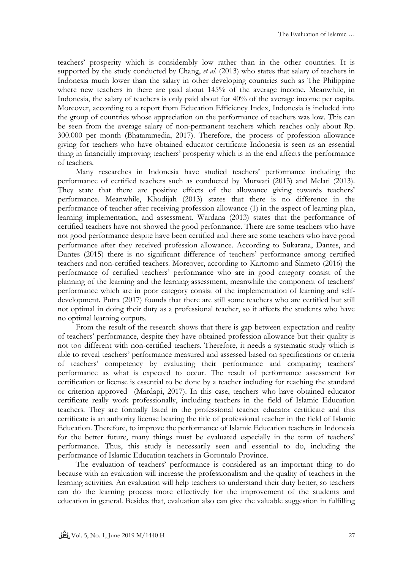teachers' prosperity which is considerably low rather than in the other countries. It is supported by the study conducted by [Chang,](#page-12-5) *et al*. (2013) who states that salary of teachers in Indonesia much lower than the salary in other developing countries such as The Philippine where new teachers in there are paid about 145% of the average income. Meanwhile, in Indonesia, the salary of teachers is only paid about for 40% of the average income per capita. Moreover, according to a report from Education Efficiency Index, Indonesia is included into the group of countries whose appreciation on the performance of teachers was low. This can be seen from the average salary of non-permanent teachers which reaches only about Rp. 300.000 per month (Bhataramedia, 2017). Therefore, the process of profession allowance giving for teachers who have obtained educator certificate Indonesia is seen as an essential thing in financially improving teachers' prosperity which is in the end affects the performance of teachers.

Many researches in Indonesia have studied teachers' performance including the performance of certified teachers such as conducted by [Murwati \(2013\)](#page-13-4) and [Melati \(2013\).](#page-12-6) They state that there are positive effects of the allowance giving towards teachers' performance. Meanwhile, [Khodijah \(2013\)](#page-12-7) states that there is no difference in the performance of teacher after receiving profession allowance (1) in the aspect of learning plan, learning implementation, and assessment. [Wardana \(2013\)](#page-13-5) states that the performance of certified teachers have not showed the good performance. There are some teachers who have not good performance despite have been certified and there are some teachers who have good performance after they received profession allowance. According to [Sukarana, Dantes, and](#page-13-6)  Dantes (2015) there is no significant difference of teachers' performance among certified teachers and non-certified teachers. Moreover, according to [Kartomo and Slameto \(2016\)](#page-12-8) the performance of certified teachers' performance who are in good category consist of the planning of the learning and the learning assessment, meanwhile the component of teachers' performance which are in poor category consist of the implementation of learning and selfdevelopment. [Putra \(2017\)](#page-13-7) founds that there are still some teachers who are certified but still not optimal in doing their duty as a professional teacher, so it affects the students who have no optimal learning outputs.

From the result of the research shows that there is gap between expectation and reality of teachers' performance, despite they have obtained profession allowance but their quality is not too different with non-certified teachers. Therefore, it needs a systematic study which is able to reveal teachers' performance measured and assessed based on specifications or criteria of teachers' competency by evaluating their performance and comparing teachers' performance as what is expected to occur. The result of performance assessment for certification or license is essential to be done by a teacher including for reaching the standard or criterion approved [\(Mardapi, 2017\).](#page-12-9) In this case, teachers who have obtained educator certificate really work professionally, including teachers in the field of Islamic Education teachers. They are formally listed in the professional teacher educator certificate and this certificate is an authority license bearing the title of professional teacher in the field of Islamic Education. Therefore, to improve the performance of Islamic Education teachers in Indonesia for the better future, many things must be evaluated especially in the term of teachers' performance. Thus, this study is necessarily seen and essential to do, including the performance of Islamic Education teachers in Gorontalo Province.

The evaluation of teachers' performance is considered as an important thing to do because with an evaluation will increase the professionalism and the quality of teachers in the learning activities. An evaluation will help teachers to understand their duty better, so teachers can do the learning process more effectively for the improvement of the students and education in general. Besides that, evaluation also can give the valuable suggestion in fulfilling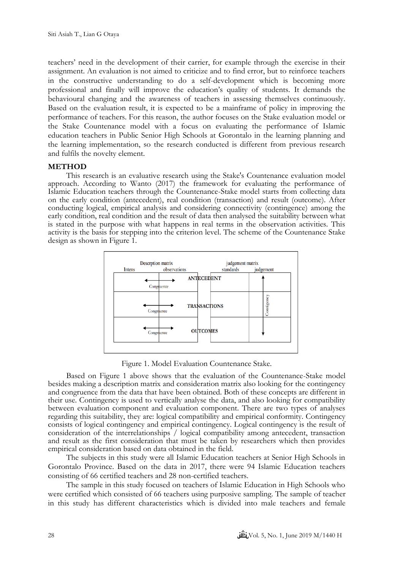teachers' need in the development of their carrier, for example through the exercise in their assignment. An evaluation is not aimed to criticize and to find error, but to reinforce teachers in the constructive understanding to do a self-development which is becoming more professional and finally will improve the education's quality of students. It demands the behavioural changing and the awareness of teachers in assessing themselves continuously. Based on the evaluation result, it is expected to be a mainframe of policy in improving the performance of teachers. For this reason, the author focuses on the Stake evaluation model or the Stake Countenance model with a focus on evaluating the performance of Islamic education teachers in Public Senior High Schools at Gorontalo in the learning planning and the learning implementation, so the research conducted is different from previous research and fulfils the novelty element.

## **METHOD**

This research is an evaluative research using the Stake's Countenance evaluation model approach. According to Wanto (2017) the framework for evaluating the performance of Islamic Education teachers through the Countenance-Stake model starts from collecting data on the early condition (antecedent), real condition (transaction) and result (outcome). After conducting logical, empirical analysis and considering connectivity (contingence) among the early condition, real condition and the result of data then analysed the suitability between what is stated in the purpose with what happens in real terms in the observation activities. This activity is the basis for stepping into the criterion level. The scheme of the Countenance Stake design as shown in Figure 1.



Figure 1. Model Evaluation Countenance Stake.

Based on Figure 1 above shows that the evaluation of the Countenance-Stake model besides making a description matrix and consideration matrix also looking for the contingency and congruence from the data that have been obtained. Both of these concepts are different in their use. Contingency is used to vertically analyse the data, and also looking for compatibility between evaluation component and evaluation component. There are two types of analyses regarding this suitability, they are: logical compatibility and empirical conformity. Contingency consists of logical contingency and empirical contingency. Logical contingency is the result of consideration of the interrelationships / logical compatibility among antecedent, transaction and result as the first consideration that must be taken by researchers which then provides empirical consideration based on data obtained in the field.

The subjects in this study were all Islamic Education teachers at Senior High Schools in Gorontalo Province. Based on the data in 2017, there were 94 Islamic Education teachers consisting of 66 certified teachers and 28 non-certified teachers.

The sample in this study focused on teachers of Islamic Education in High Schools who were certified which consisted of 66 teachers using purposive sampling. The sample of teacher in this study has different characteristics which is divided into male teachers and female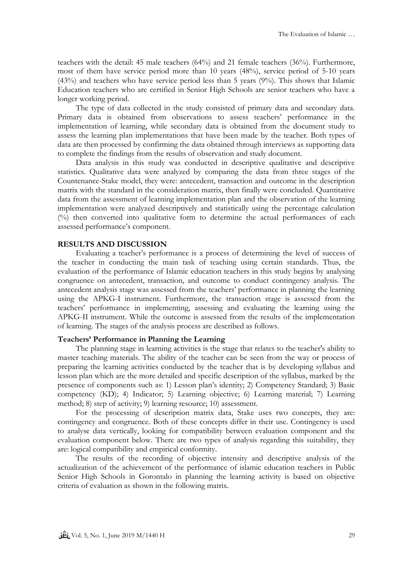teachers with the detail: 45 male teachers (64%) and 21 female teachers (36%). Furthermore, most of them have service period more than 10 years (48%), service period of 5-10 years (43%) and teachers who have service period less than 5 years (9%). This shows that Islamic Education teachers who are certified in Senior High Schools are senior teachers who have a longer working period.

The type of data collected in the study consisted of primary data and secondary data. Primary data is obtained from observations to assess teachers' performance in the implementation of learning, while secondary data is obtained from the document study to assess the learning plan implementations that have been made by the teacher. Both types of data are then processed by confirming the data obtained through interviews as supporting data to complete the findings from the results of observation and study document.

Data analysis in this study was conducted in descriptive qualitative and descriptive statistics. Qualitative data were analyzed by comparing the data from three stages of the Countenance-Stake model, they were: antecedent, transaction and outcome in the description matrix with the standard in the consideration matrix, then finally were concluded. Quantitative data from the assessment of learning implementation plan and the observation of the learning implementation were analyzed descriptively and statistically using the percentage calculation (%) then converted into qualitative form to determine the actual performances of each assessed performance's component.

### **RESULTS AND DISCUSSION**

Evaluating a teacher's performance is a process of determining the level of success of the teacher in conducting the main task of teaching using certain standards. Thus, the evaluation of the performance of Islamic education teachers in this study begins by analysing congruence on antecedent, transaction, and outcome to conduct contingency analysis. The antecedent analysis stage was assessed from the teachers' performance in planning the learning using the APKG-I instrument. Furthermore, the transaction stage is assessed from the teachers' performance in implementing, assessing and evaluating the learning using the APKG-II instrument. While the outcome is assessed from the results of the implementation of learning. The stages of the analysis process are described as follows.

#### **Teachers' Performance in Planning the Learning**

The planning stage in learning activities is the stage that relates to the teacher's ability to master teaching materials. The ability of the teacher can be seen from the way or process of preparing the learning activities conducted by the teacher that is by developing syllabus and lesson plan which are the more detailed and specific description of the syllabus, marked by the presence of components such as: 1) Lesson plan's identity; 2) Competency Standard; 3) Basic competency (KD); 4) Indicator; 5) Learning objective; 6) Learning material; 7) Learning method; 8) step of activity; 9) learning resource; 10) assessment.

For the processing of description matrix data, Stake uses two concepts, they are: contingency and congruence. Both of these concepts differ in their use. Contingency is used to analyse data vertically, looking for compatibility between evaluation component and the evaluation component below. There are two types of analysis regarding this suitability, they are: logical compatibility and empirical conformity.

The results of the recording of objective intensity and descriptive analysis of the actualization of the achievement of the performance of islamic education teachers in Public Senior High Schools in Gorontalo in planning the learning activity is based on objective criteria of evaluation as shown in the following matrix.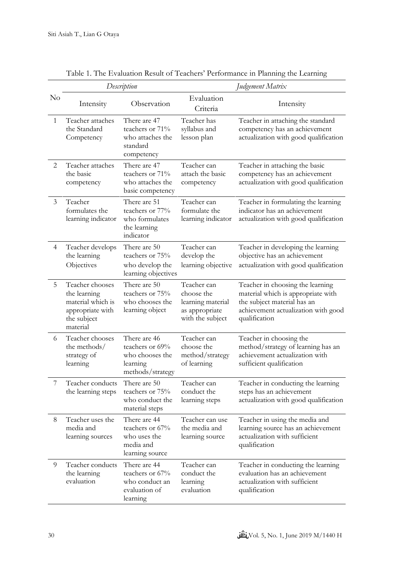|                | Description                                                                                         |                                                                                    | Judgement Matrix                                                                     |                                                                                                                                                               |
|----------------|-----------------------------------------------------------------------------------------------------|------------------------------------------------------------------------------------|--------------------------------------------------------------------------------------|---------------------------------------------------------------------------------------------------------------------------------------------------------------|
| $\rm No$       | Intensity                                                                                           | Observation                                                                        | Evaluation<br>Criteria                                                               | Intensity                                                                                                                                                     |
| 1              | Teacher attaches<br>the Standard<br>Competency                                                      | There are 47<br>teachers or 71%<br>who attaches the<br>standard<br>competency      | Teacher has<br>syllabus and<br>lesson plan                                           | Teacher in attaching the standard<br>competency has an achievement<br>actualization with good qualification                                                   |
| 2              | Teacher attaches<br>the basic<br>competency                                                         | There are 47<br>teachers or 71%<br>who attaches the<br>basic competency            | Teacher can<br>attach the basic<br>competency                                        | Teacher in attaching the basic<br>competency has an achievement<br>actualization with good qualification                                                      |
| $\mathfrak{Z}$ | Teacher<br>formulates the<br>learning indicator                                                     | There are 51<br>teachers or 77%<br>who formulates<br>the learning<br>indicator     | Teacher can<br>formulate the<br>learning indicator                                   | Teacher in formulating the learning<br>indicator has an achievement<br>actualization with good qualification                                                  |
| $\overline{4}$ | Teacher develops<br>the learning<br>Objectives                                                      | There are 50<br>teachers or 75%<br>who develop the<br>learning objectives          | Teacher can<br>develop the<br>learning objective                                     | Teacher in developing the learning<br>objective has an achievement<br>actualization with good qualification                                                   |
| 5              | Teacher chooses<br>the learning<br>material which is<br>appropriate with<br>the subject<br>material | There are 50<br>teachers or 75%<br>who chooses the<br>learning object              | Teacher can<br>choose the<br>learning material<br>as appropriate<br>with the subject | Teacher in choosing the learning<br>material which is appropriate with<br>the subject material has an<br>achievement actualization with good<br>qualification |
| 6              | Teacher chooses<br>the methods/<br>strategy of<br>learning                                          | There are 46<br>teachers or 69%<br>who chooses the<br>learning<br>methods/strategy | Teacher can<br>choose the<br>method/strategy<br>of learning                          | Teacher in choosing the<br>method/strategy of learning has an<br>achievement actualization with<br>sufficient qualification                                   |
|                | Teacher conducts<br>the learning steps                                                              | There are 50<br>teachers or 75%<br>who conduct the<br>material steps               | Teacher can<br>conduct the<br>learning steps                                         | Teacher in conducting the learning<br>steps has an achievement<br>actualization with good qualification                                                       |
| 8              | Teacher uses the<br>media and<br>learning sources                                                   | There are 44<br>teachers or 67%<br>who uses the<br>media and<br>learning source    | Teacher can use<br>the media and<br>learning source                                  | Teacher in using the media and<br>learning source has an achievement<br>actualization with sufficient<br>qualification                                        |
| 9              | Teacher conducts<br>the learning<br>evaluation                                                      | There are 44<br>teachers or 67%<br>who conduct an<br>evaluation of<br>learning     | Teacher can<br>conduct the<br>learning<br>evaluation                                 | Teacher in conducting the learning<br>evaluation has an achievement<br>actualization with sufficient<br>qualification                                         |

Table 1. The Evaluation Result of Teachers' Performance in Planning the Learning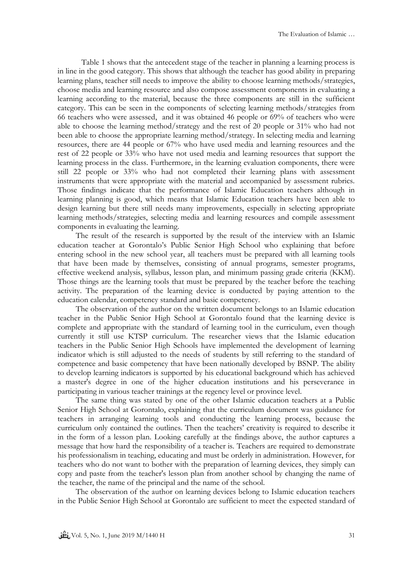Table 1 shows that the antecedent stage of the teacher in planning a learning process is in line in the good category. This shows that although the teacher has good ability in preparing learning plans, teacher still needs to improve the ability to choose learning methods/strategies, choose media and learning resource and also compose assessment components in evaluating a learning according to the material, because the three components are still in the sufficient category. This can be seen in the components of selecting learning methods/strategies from 66 teachers who were assessed, and it was obtained 46 people or 69% of teachers who were able to choose the learning method/strategy and the rest of 20 people or 31% who had not been able to choose the appropriate learning method/strategy. In selecting media and learning resources, there are 44 people or 67% who have used media and learning resources and the rest of 22 people or 33% who have not used media and learning resources that support the learning process in the class. Furthermore, in the learning evaluation components, there were still 22 people or 33% who had not completed their learning plans with assessment instruments that were appropriate with the material and accompanied by assessment rubrics. Those findings indicate that the performance of Islamic Education teachers although in learning planning is good, which means that Islamic Education teachers have been able to design learning but there still needs many improvements, especially in selecting appropriate learning methods/strategies, selecting media and learning resources and compile assessment components in evaluating the learning.

The result of the research is supported by the result of the interview with an Islamic education teacher at Gorontalo's Public Senior High School who explaining that before entering school in the new school year, all teachers must be prepared with all learning tools that have been made by themselves, consisting of annual programs, semester programs, effective weekend analysis, syllabus, lesson plan, and minimum passing grade criteria (KKM). Those things are the learning tools that must be prepared by the teacher before the teaching activity. The preparation of the learning device is conducted by paying attention to the education calendar, competency standard and basic competency.

The observation of the author on the written document belongs to an Islamic education teacher in the Public Senior High School at Gorontalo found that the learning device is complete and appropriate with the standard of learning tool in the curriculum, even though currently it still use KTSP curriculum. The researcher views that the Islamic education teachers in the Public Senior High Schools have implemented the development of learning indicator which is still adjusted to the needs of students by still referring to the standard of competence and basic competency that have been nationally developed by BSNP. The ability to develop learning indicators is supported by his educational background which has achieved a master's degree in one of the higher education institutions and his perseverance in participating in various teacher trainings at the regency level or province level.

The same thing was stated by one of the other Islamic education teachers at a Public Senior High School at Gorontalo, explaining that the curriculum document was guidance for teachers in arranging learning tools and conducting the learning process, because the curriculum only contained the outlines. Then the teachers' creativity is required to describe it in the form of a lesson plan. Looking carefully at the findings above, the author captures a message that how hard the responsibility of a teacher is. Teachers are required to demonstrate his professionalism in teaching, educating and must be orderly in administration. However, for teachers who do not want to bother with the preparation of learning devices, they simply can copy and paste from the teacher's lesson plan from another school by changing the name of the teacher, the name of the principal and the name of the school.

The observation of the author on learning devices belong to Islamic education teachers in the Public Senior High School at Gorontalo are sufficient to meet the expected standard of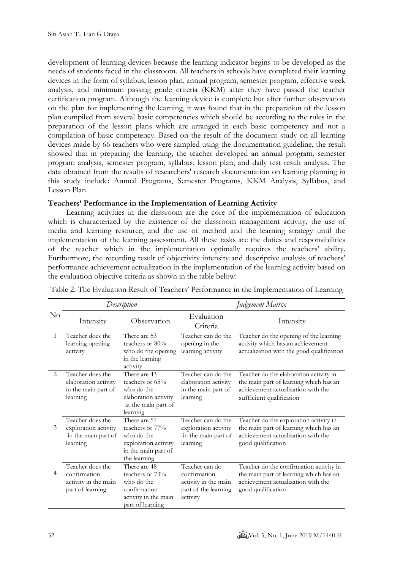development of learning devices because the learning indicator begins to be developed as the needs of students faced in the classroom. All teachers in schools have completed their learning devices in the form of syllabus, lesson plan, annual program, semester program, effective week analysis, and minimum passing grade criteria (KKM) after they have passed the teacher certification program. Although the learning device is complete but after further observation on the plan for implementing the learning, it was found that in the preparation of the lesson plan compiled from several basic competencies which should be according to the rules in the preparation of the lesson plans which are arranged in each basic competency and not a compilation of basic competency. Based on the result of the document study on all learning devices made by 66 teachers who were sampled using the documentation guideline, the result showed that in preparing the learning, the teacher developed an annual program, semester program analysis, semester program, syllabus, lesson plan, and daily test result analysis. The data obtained from the results of researchers' research documentation on learning planning in this study include: Annual Programs, Semester Programs, KKM Analysis, Syllabus, and Lesson Plan.

# **Teachers' Performance in the Implementation of Learning Activity**

Learning activities in the classroom are the core of the implementation of education which is characterized by the existence of the classroom management activity, the use of media and learning resource, and the use of method and the learning strategy until the implementation of the learning assessment. All these tasks are the duties and responsibilities of the teacher which in the implementation optimally requires the teachers' ability. Furthermore, the recording result of objectivity intensity and descriptive analysis of teachers' performance achievement actualization in the implementation of the learning activity based on the evaluation objective criteria as shown in the table below:

|                | Description                                                                  |                                                                                                              | Judgement Matrix                                                                           |                                                                                                                                                    |
|----------------|------------------------------------------------------------------------------|--------------------------------------------------------------------------------------------------------------|--------------------------------------------------------------------------------------------|----------------------------------------------------------------------------------------------------------------------------------------------------|
| $\rm No$       | Intensity                                                                    | Observation                                                                                                  | Evaluation<br>Criteria                                                                     | Intensity                                                                                                                                          |
| $\mathbf{1}$   | Teacher does the<br>learning opening<br>activity                             | There are 53<br>teachers or 80%<br>who do the opening<br>in the learning<br>activity                         | Teacher can do the<br>opening in the<br>learning activity                                  | Teacher do the opening of the learning<br>activity which has an achievement<br>actualization with the good qualification                           |
| $\mathfrak{D}$ | Teacher does the<br>elaboration activity<br>in the main part of<br>learning  | There are 43<br>teachers or 65%<br>who do the<br>elaboration activity<br>at the main part of<br>learning     | Teacher can do the<br>elaboration activity<br>in the main part of<br>learning              | Teacher do the elaboration activity in<br>the main part of learning which has an<br>achievement actualization with the<br>sufficient qualification |
| 3              | Teacher does the<br>exploration activity<br>in the main part of<br>learning  | There are 51<br>teachers or 77%<br>who do the<br>exploration activity<br>in the main part of<br>the learning | Teacher can do the<br>exploration activity<br>in the main part of<br>learning              | Teacher do the exploration activity in<br>the main part of learning which has an<br>achievement actualization with the<br>good qualification       |
|                | Teacher does the<br>confirmation<br>activity in the main<br>part of learning | There are 48<br>teachers or 73%<br>who do the<br>confirmation<br>activity in the main<br>part of learning    | Teacher can do<br>confirmation<br>activity in the main<br>part of the learning<br>activity | Teacher do the confirmation activity in<br>the main part of learning which has an<br>achievement actualization with the<br>good qualification      |

Table 2. The Evaluation Result of Teachers' Performance in the Implementation of Learning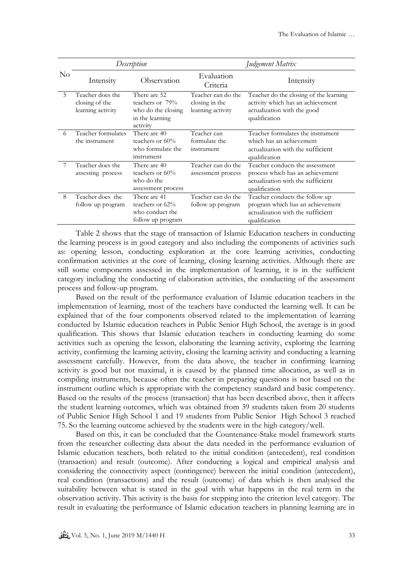|    | Description                                             |                                                                                      | Judgement Matrix                                          |                                                                                                                             |
|----|---------------------------------------------------------|--------------------------------------------------------------------------------------|-----------------------------------------------------------|-----------------------------------------------------------------------------------------------------------------------------|
| No | Intensity                                               | Observation                                                                          | Evaluation<br>Criteria                                    | Intensity                                                                                                                   |
| 5  | Teacher does the<br>closing of the<br>learning activity | There are 52<br>teachers or 79%<br>who do the closing<br>in the learning<br>activity | Teacher can do the<br>closing in the<br>learning activity | Teacher do the closing of the learning<br>activity which has an achievement<br>actualization with the good<br>qualification |
| 6  | Teacher formulates<br>the instrument                    | There are 40<br>teachers or $60\%$<br>who formulate the<br>instrument                | Teacher can<br>formulate the<br>instrument                | Teacher formulates the instrument<br>which has an achievement<br>actualization with the sufficient.<br>qualification        |
|    | Teacher does the<br>assessing process                   | There are 40<br>teachers or $60\%$<br>who do the<br>assessment process               | Teacher can do the<br>assessment process                  | Teacher conducts the assessment<br>process which has an achievement<br>actualization with the sufficient<br>qualification   |
| 8  | Teacher does the<br>follow up program                   | There are 41<br>teachers or 62%<br>who conduct the<br>follow up program              | Teacher can do the<br>follow up program                   | Teacher conducts the follow up<br>program which has an achievement<br>actualization with the sufficient<br>qualification    |

Table 2 shows that the stage of transaction of Islamic Education teachers in conducting the learning process is in good category and also including the components of activities such as: opening lesson, conducting exploration at the core learning activities, conducting confirmation activities at the core of learning, closing learning activities. Although there are still some components assessed in the implementation of learning, it is in the sufficient category including the conducting of elaboration activities, the conducting of the assessment process and follow-up program.

Based on the result of the performance evaluation of Islamic education teachers in the implementation of learning, most of the teachers have conducted the learning well. It can be explained that of the four components observed related to the implementation of learning conducted by Islamic education teachers in Public Senior High School, the average is in good qualification. This shows that Islamic education teachers in conducting learning do some activities such as opening the lesson, elaborating the learning activity, exploring the learning activity, confirming the learning activity, closing the learning activity and conducting a learning assessment carefully. However, from the data above, the teacher in confirming learning activity is good but not maximal, it is caused by the planned time allocation, as well as in compiling instruments, because often the teacher in preparing questions is not based on the instrument outline which is appropriate with the competency standard and basic competency. Based on the results of the process (transaction) that has been described above, then it affects the student learning outcomes, which was obtained from 39 students taken from 20 students of Public Senior High School 1 and 19 students from Public Senior High School 3 reached 75. So the learning outcome achieved by the students were in the high category/well.

Based on this, it can be concluded that the Countenance-Stake model framework starts from the researcher collecting data about the data needed in the performance evaluation of Islamic education teachers, both related to the initial condition (antecedent), real condition (transaction) and result (outcome). After conducting a logical and empirical analysis and considering the connectivity aspect (contingence) between the initial condition (antecedent), real condition (transactions) and the result (outcome) of data which is then analysed the suitability between what is stated in the goal with what happens in the real term in the observation activity. This activity is the basis for stepping into the criterion level category. The result in evaluating the performance of Islamic education teachers in planning learning are in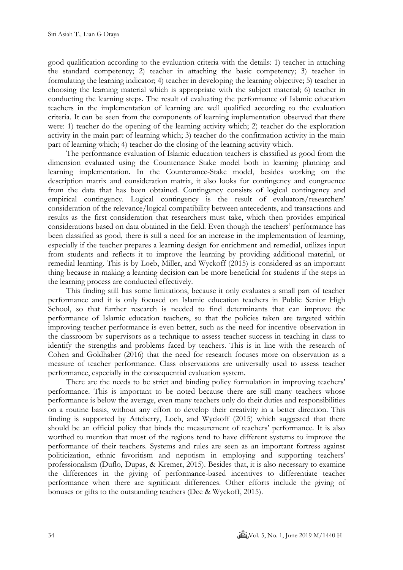good qualification according to the evaluation criteria with the details: 1) teacher in attaching the standard competency; 2) teacher in attaching the basic competency; 3) teacher in formulating the learning indicator; 4) teacher in developing the learning objective; 5) teacher in choosing the learning material which is appropriate with the subject material; 6) teacher in conducting the learning steps. The result of evaluating the performance of Islamic education teachers in the implementation of learning are well qualified according to the evaluation criteria. It can be seen from the components of learning implementation observed that there were: 1) teacher do the opening of the learning activity which; 2) teacher do the exploration activity in the main part of learning which; 3) teacher do the confirmation activity in the main part of learning which; 4) teacher do the closing of the learning activity which.

The performance evaluation of Islamic education teachers is classified as good from the dimension evaluated using the Countenance Stake model both in learning planning and learning implementation. In the Countenance-Stake model, besides working on the description matrix and consideration matrix, it also looks for contingency and congruence from the data that has been obtained. Contingency consists of logical contingency and empirical contingency. Logical contingency is the result of evaluators/researchers' consideration of the relevance/logical compatibility between antecedents, and transactions and results as the first consideration that researchers must take, which then provides empirical considerations based on data obtained in the field. Even though the teachers' performance has been classified as good, there is still a need for an increase in the implementation of learning, especially if the teacher prepares a learning design for enrichment and remedial, utilizes input from students and reflects it to improve the learning by providing additional material, or remedial learning. This is by [Loeb, Miller, and Wyckoff \(2015\)](#page-12-10) is considered as an important thing because in making a learning decision can be more beneficial for students if the steps in the learning process are conducted effectively.

This finding still has some limitations, because it only evaluates a small part of teacher performance and it is only focused on Islamic education teachers in Public Senior High School, so that further research is needed to find determinants that can improve the performance of Islamic education teachers, so that the policies taken are targeted within improving teacher performance is even better, such as the need for incentive observation in the classroom by supervisors as a technique to assess teacher success in teaching in class to identify the strengths and problems faced by teachers. This is in line with the research of [Cohen and Goldhaber \(2016\)](#page-12-11) that the need for research focuses more on observation as a measure of teacher performance. Class observations are universally used to assess teacher performance, especially in the consequential evaluation system.

There are the needs to be strict and binding policy formulation in improving teachers' performance. This is important to be noted because there are still many teachers whose performance is below the average, even many teachers only do their duties and responsibilities on a routine basis, without any effort to develop their creativity in a better direction. This finding is supported by [Atteberry, Loeb, and Wyckoff \(2015\)](#page-12-12) which suggested that there should be an official policy that binds the measurement of teachers' performance. It is also worthed to mention that most of the regions tend to have different systems to improve the performance of their teachers. Systems and rules are seen as an important fortress against politicization, ethnic favoritism and nepotism in employing and supporting teachers' professionalism [\(Duflo, Dupas, & Kremer, 2015\)](#page-12-13). Besides that, it is also necessary to examine the differences in the giving of performance-based incentives to differentiate teacher performance when there are significant differences. Other efforts include the giving of bonuses or gifts to the outstanding teachers [\(Dee & Wyckoff, 2015\)](#page-12-4).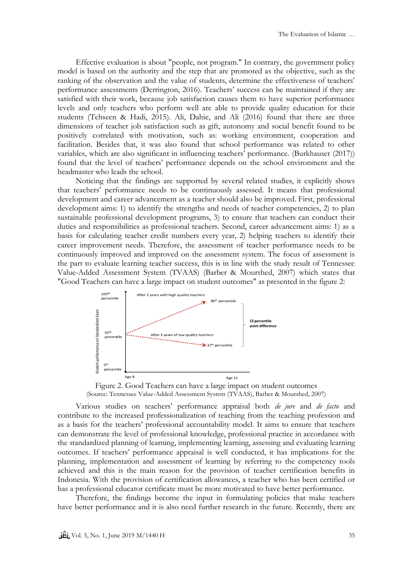Effective evaluation is about "people, not program." In contrary, the government policy model is based on the authority and the step that are promoted as the objective, such as the ranking of the observation and the value of students, determine the effectiveness of teachers' performance assessments [\(Derrington, 2016\)](#page-12-14). Teachers' success can be maintained if they are satisfied with their work, because job satisfaction causes them to have superior performance levels and only teachers who perform well are able to provide quality education for their students [\(Tehseen & Hadi, 2015\)](#page-13-8). [Ali, Dahie, and Ali \(2016\)](#page-11-2) found that there are three dimensions of teacher job satisfaction such as gift, autonomy and social benefit found to be positively correlated with motivation, such as: working environment, cooperation and facilitation. Besides that, it was also found that school performance was related to other variables, which are also significant in influencing teachers' performance. [\(Burkhauser \(2017\)\)](#page-12-15) found that the level of teachers' performance depends on the school environment and the headmaster who leads the school.

Noticing that the findings are supported by several related studies, it explicitly shows that teachers' performance needs to be continuously assessed. It means that professional development and career advancement as a teacher should also be improved. First, professional development aims: 1) to identify the strengths and needs of teacher competencies, 2) to plan sustainable professional development programs, 3) to ensure that teachers can conduct their duties and responsibilities as professional teachers. Second, career advancement aims: 1) as a basis for calculating teacher credit numbers every year, 2) helping teachers to identify their career improvement needs. Therefore, the assessment of teacher performance needs to be continuously improved and improved on the assessment system. The focus of assessment is the part to evaluate learning teacher success, this is in line with the study result of Tennessee Value-Added Assessment System (TVAAS) (Barber & Mourshed, 2007) which states that "Good Teachers can have a large impact on student outcomes" as presented in the figure 2:



Figure 2. Good Teachers can have a large impact on student outcomes (Source: Tennessee Value-Added Assessment System (TVAAS), Barber & Mourshed, 2007)

Various studies on teachers' performance appraisal both *de jure* and *de facto* and contribute to the increased professionalization of teaching from the teaching profession and as a basis for the teachers' professional accountability model. It aims to ensure that teachers can demonstrate the level of professional knowledge, professional practice in accordance with the standardized planning of learning, implementing learning, assessing and evaluating learning outcomes. If teachers' performance appraisal is well conducted, it has implications for the planning, implementation and assessment of learning by referring to the competency tools achieved and this is the main reason for the provision of teacher certification benefits in Indonesia. With the provision of certification allowances, a teacher who has been certified or has a professional educator certificate must be more motivated to have better performance.

Therefore, the findings become the input in formulating policies that make teachers have better performance and it is also need further research in the future. Recently, there are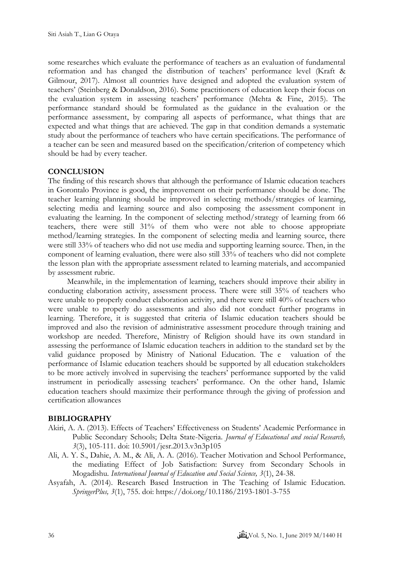some researches which evaluate the performance of teachers as an evaluation of fundamental reformation and has changed the distribution of teachers' performance level [\(Kraft &](#page-12-16)  [Gilmour, 2017\)](#page-12-16). Almost all countries have designed and adopted the evaluation system of teachers' [\(Steinberg & Donaldson, 2016\)](#page-13-9). Some practitioners of education keep their focus on the evaluation system in assessing teachers' performance [\(Mehta & Fine, 2015\)](#page-12-17). The performance standard should be formulated as the guidance in the evaluation or the performance assessment, by comparing all aspects of performance, what things that are expected and what things that are achieved. The gap in that condition demands a systematic study about the performance of teachers who have certain specifications. The performance of a teacher can be seen and measured based on the specification/criterion of competency which should be had by every teacher.

## **CONCLUSION**

The finding of this research shows that although the performance of Islamic education teachers in Gorontalo Province is good, the improvement on their performance should be done. The teacher learning planning should be improved in selecting methods/strategies of learning, selecting media and learning source and also composing the assessment component in evaluating the learning. In the component of selecting method/strategy of learning from 66 teachers, there were still 31% of them who were not able to choose appropriate method/learning strategies. In the component of selecting media and learning source, there were still 33% of teachers who did not use media and supporting learning source. Then, in the component of learning evaluation, there were also still 33% of teachers who did not complete the lesson plan with the appropriate assessment related to learning materials, and accompanied by assessment rubric.

Meanwhile, in the implementation of learning, teachers should improve their ability in conducting elaboration activity, assessment process. There were still 35% of teachers who were unable to properly conduct elaboration activity, and there were still 40% of teachers who were unable to properly do assessments and also did not conduct further programs in learning. Therefore, it is suggested that criteria of Islamic education teachers should be improved and also the revision of administrative assessment procedure through training and workshop are needed. Therefore, Ministry of Religion should have its own standard in assessing the performance of Islamic education teachers in addition to the standard set by the valid guidance proposed by Ministry of National Education. The e valuation of the performance of Islamic education teachers should be supported by all education stakeholders to be more actively involved in supervising the teachers' performance supported by the valid instrument in periodically assessing teachers' performance. On the other hand, Islamic education teachers should maximize their performance through the giving of profession and certification allowances

### **BIBLIOGRAPHY**

- <span id="page-11-1"></span>Akiri, A. A. (2013). Effects of Teachers' Effectiveness on Students' Academic Performance in Public Secondary Schools; Delta State-Nigeria. *Journal of Educational and social Research, 3*(3), 105-111. doi: 10.5901/jesr.2013.v3n3p105
- <span id="page-11-2"></span>Ali, A. Y. S., Dahie, A. M., & Ali, A. A. (2016). Teacher Motivation and School Performance, the mediating Effect of Job Satisfaction: Survey from Secondary Schools in Mogadishu. *International Journal of Education and Social Science, 3*(1), 24-38.
- <span id="page-11-0"></span>Asyafah, A. (2014). Research Based Instruction in The Teaching of Islamic Education. *SpringerPlus, 3*(1), 755. doi: https://doi.org/10.1186/2193-1801-3-755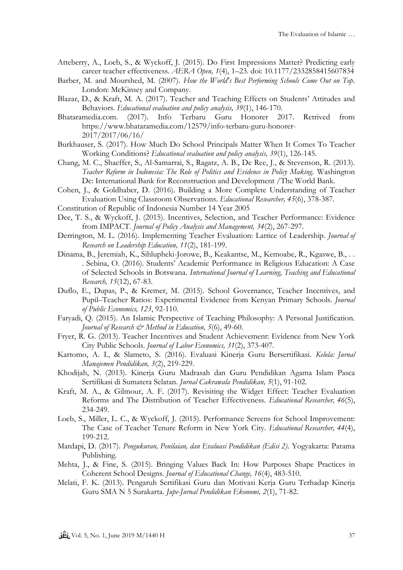- <span id="page-12-12"></span>Atteberry, A., Loeb, S., & Wyckoff, J. (2015). Do First Impressions Matter? Predicting early career teacher effectiveness. *AERA Open, 1*(4), 1–23. doi: 10.1177/2332858415607834
- <span id="page-12-1"></span>Barber, M. and Mourshed, M. (2007). *How the World's Best Performing Schools Come Out on Top*. London: McKinsey and Company.
- Blazar, D., & Kraft, M. A. (2017). Teacher and Teaching Effects on Students' Attitudes and Behaviors. *Educational evaluation and policy analysis, 39*(1), 146-170.
- Bhataramedia.com. (2017). Info Terbaru Guru Honorer 2017. Retrived from https://www.bhataramedia.com/12579/info-terbaru-guru-honorer-2017/2017/06/16/
- <span id="page-12-15"></span>Burkhauser, S. (2017). How Much Do School Principals Matter When It Comes To Teacher Working Conditions? *Educational evaluation and policy analysis, 39*(1), 126-145.
- <span id="page-12-5"></span>Chang, M. C., Shaeffer, S., Al-Samarrai, S., Ragatz, A. B., De Ree, J., & Stevenson, R. (2013). *Teacher Reform in Indonesia: The Role of Politics and Evidence in Policy Making*. Washington Dc: International Bank for Reconstruction and Development /The World Bank.
- <span id="page-12-11"></span>Cohen, J., & Goldhaber, D. (2016). Building a More Complete Understanding of Teacher Evaluation Using Classroom Observations. *Educational Researcher, 45*(6), 378-387.
- Constitution of Republic of Indonesia Number 14 Year 2005
- <span id="page-12-4"></span>Dee, T. S., & Wyckoff, J. (2015). Incentives, Selection, and Teacher Performance: Evidence from IMPACT. *Journal of Policy Analysis and Management, 34*(2), 267-297.
- <span id="page-12-14"></span>Derrington, M. L. (2016). Implementing Teacher Evaluation: Lattice of Leadership. *Journal of Research on Leadership Education, 11*(2), 181-199.
- <span id="page-12-2"></span>Dinama, B., Jeremiah, K., Sihlupheki-Jorowe, B., Keakantse, M., Kemoabe, R., Kgaswe, B., . . . Sebina, O. (2016). Students' Academic Performance in Religious Education: A Case of Selected Schools in Botswana. *International Journal of Learning, Teaching and Educational Research, 15*(12), 67-83.
- <span id="page-12-13"></span>Duflo, E., Dupas, P., & Kremer, M. (2015). School Governance, Teacher Incentives, and Pupil–Teacher Ratios: Experimental Evidence from Kenyan Primary Schools. *Journal of Public Economics, 123*, 92-110.
- <span id="page-12-0"></span>Faryadi, Q. (2015). An Islamic Perspective of Teaching Philosophy: A Personal Justification. *Journal of Research*  $\mathcal{O}$  *Method in Education, 5(6), 49-60.*
- <span id="page-12-3"></span>Fryer, R. G. (2013). Teacher Incentives and Student Achievement: Evidence from New York City Public Schools. *Journal of Labor Economics, 31*(2), 373-407.
- <span id="page-12-8"></span>Kartomo, A. I., & Slameto, S. (2016). Evaluasi Kinerja Guru Bersertifikasi. *Kelola: Jurnal Manajemen Pendidikan, 3*(2), 219-229.
- <span id="page-12-7"></span>Khodijah, N. (2013). Kinerja Guru Madrasah dan Guru Pendidikan Agama Islam Pasca Sertifikasi di Sumatera Selatan. *Jurnal Cakrawala Pendidikan, 5*(1), 91-102.
- <span id="page-12-16"></span>Kraft, M. A., & Gilmour, A. F. (2017). Revisiting the Widget Effect: Teacher Evaluation Reforms and The Distribution of Teacher Effectiveness. *Educational Researcher, 46*(5), 234-249.
- <span id="page-12-10"></span>Loeb, S., Miller, L. C., & Wyckoff, J. (2015). Performance Screens for School Improvement: The Case of Teacher Tenure Reform in New York City. *Educational Researcher, 44*(4), 199-212.
- <span id="page-12-9"></span>Mardapi, D. (2017). *Pengukuran, Penilaian, dan Evaluasi Pendidikan (Edisi 2)*. Yogyakarta: Parama Publishing.
- <span id="page-12-17"></span>Mehta, J., & Fine, S. (2015). Bringing Values Back In: How Purposes Shape Practices in Coherent School Designs. *Journal of Educational Change, 16*(4), 483-510.
- <span id="page-12-6"></span>Melati, F. K. (2013). Pengaruh Sertifikasi Guru dan Motivasi Kerja Guru Terhadap Kinerja Guru SMA N 5 Surakarta. *Jupe-Jurnal Pendidikan Ekonomi, 2*(1), 71-82.